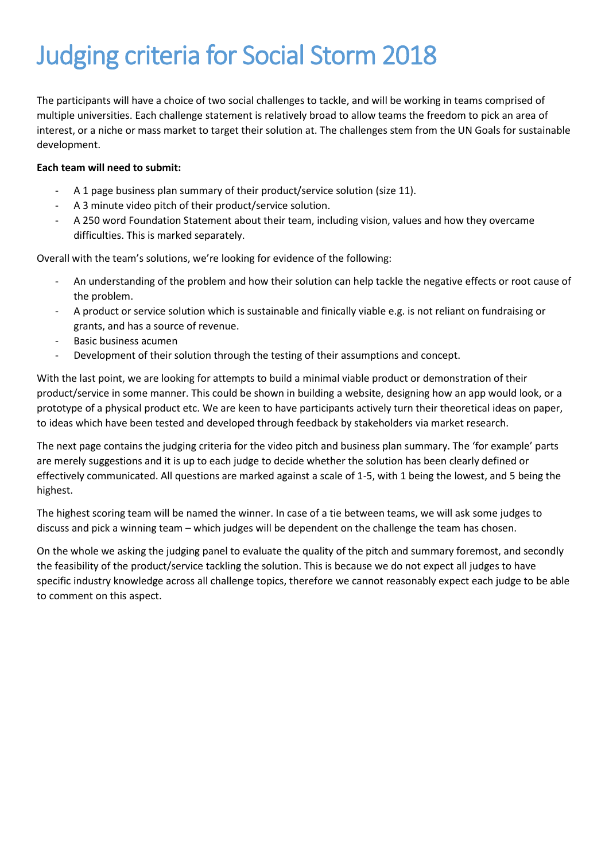# Judging criteria for Social Storm 2018

The participants will have a choice of two social challenges to tackle, and will be working in teams comprised of multiple universities. Each challenge statement is relatively broad to allow teams the freedom to pick an area of interest, or a niche or mass market to target their solution at. The challenges stem from the UN Goals for sustainable development.

#### **Each team will need to submit:**

- A 1 page business plan summary of their product/service solution (size 11).
- A 3 minute video pitch of their product/service solution.
- A 250 word Foundation Statement about their team, including vision, values and how they overcame difficulties. This is marked separately.

Overall with the team's solutions, we're looking for evidence of the following:

- An understanding of the problem and how their solution can help tackle the negative effects or root cause of the problem.
- A product or service solution which is sustainable and finically viable e.g. is not reliant on fundraising or grants, and has a source of revenue.
- Basic business acumen
- Development of their solution through the testing of their assumptions and concept.

With the last point, we are looking for attempts to build a minimal viable product or demonstration of their product/service in some manner. This could be shown in building a website, designing how an app would look, or a prototype of a physical product etc. We are keen to have participants actively turn their theoretical ideas on paper, to ideas which have been tested and developed through feedback by stakeholders via market research.

The next page contains the judging criteria for the video pitch and business plan summary. The 'for example' parts are merely suggestions and it is up to each judge to decide whether the solution has been clearly defined or effectively communicated. All questions are marked against a scale of 1-5, with 1 being the lowest, and 5 being the highest.

The highest scoring team will be named the winner. In case of a tie between teams, we will ask some judges to discuss and pick a winning team – which judges will be dependent on the challenge the team has chosen.

On the whole we asking the judging panel to evaluate the quality of the pitch and summary foremost, and secondly the feasibility of the product/service tackling the solution. This is because we do not expect all judges to have specific industry knowledge across all challenge topics, therefore we cannot reasonably expect each judge to be able to comment on this aspect.